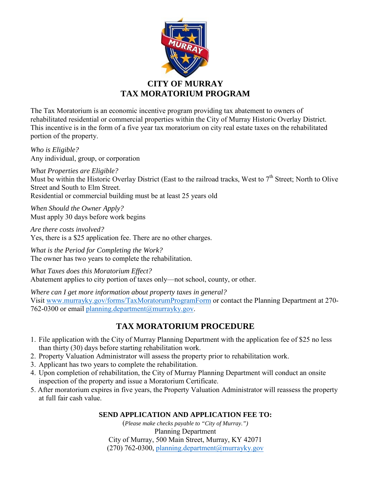

## **CITY OF MURRAY TAX MORATORIUM PROGRAM**

The Tax Moratorium is an economic incentive program providing tax abatement to owners of rehabilitated residential or commercial properties within the City of Murray Historic Overlay District. This incentive is in the form of a five year tax moratorium on city real estate taxes on the rehabilitated portion of the property.

*Who is Eligible?* Any individual, group, or corporation

*What Properties are Eligible?*

Must be within the Historic Overlay District (East to the railroad tracks, West to  $7<sup>th</sup>$  Street; North to Olive Street and South to Elm Street.

Residential or commercial building must be at least 25 years old

*When Should the Owner Apply?*  Must apply 30 days before work begins

*Are there costs involved?* Yes, there is a \$25 application fee. There are no other charges.

*What is the Period for Completing the Work?*  The owner has two years to complete the rehabilitation.

*What Taxes does this Moratorium Effect?*  Abatement applies to city portion of taxes only—not school, county, or other.

*Where can I get more information about property taxes in general?*  Visit [www.murrayky.gov/forms/TaxMoratorumProgramForm](www.murrayky.gov/_docs/TaxMoratoriumProgramForm.pdf) or contact the Planning Department at 270 762-0300 or email [planning.department@murrayky.gov.](mailto:planning.department@murrayky.gov?subject=Tax%20Moratorium%20Program)

# **TAX MORATORIUM PROCEDURE**

- 1. File application with the City of Murray Planning Department with the application fee of \$25 no less than thirty (30) days before starting rehabilitation work.
- 2. Property Valuation Administrator will assess the property prior to rehabilitation work.
- 3. Applicant has two years to complete the rehabilitation.
- 4. Upon completion of rehabilitation, the City of Murray Planning Department will conduct an onsite inspection of the property and issue a Moratorium Certificate.
- 5. After moratorium expires in five years, the Property Valuation Administrator will reassess the property at full fair cash value.

### **SEND APPLICATION AND APPLICATION FEE TO:**

(*Please make checks payable to "City of Murray.")* Planning Department City of Murray, 500 Main Street, Murray, KY 42071 (270) 762-0300, [planning.department@murrayky.gov](mailto:planning.department@murrayky.gov?subject=Tax%20Moratorium%20Program)